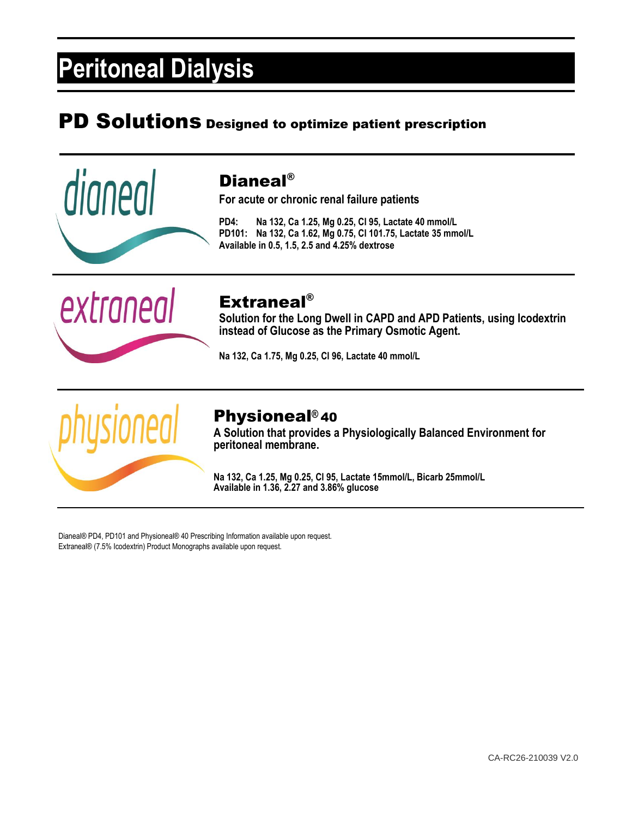## PD Solutions Designed to optimize patient prescription



### Dianeal®

**For acute or chronic renal failure patients**

**PD4: Na 132, Ca 1.25, Mg 0.25, Cl 95, Lactate 40 mmol/L PD101: Na 132, Ca 1.62, Mg 0.75, Cl 101.75, Lactate 35 mmol/L Available in 0.5, 1.5, 2.5 and 4.25% dextrose**



## Extraneal®

**Solution for the Long Dwell in CAPD and APD Patients, using Icodextrin instead of Glucose as the Primary Osmotic Agent.**

**Na 132, Ca 1.75, Mg 0.25, Cl 96, Lactate 40 mmol/L**



### Physioneal**®** 40

**A Solution that provides a Physiologically Balanced Environment for peritoneal membrane.**

**Na 132, Ca 1.25, Mg 0.25, Cl 95, Lactate 15mmol/L, Bicarb 25mmol/L Available in 1.36, 2.27 and 3.86% glucose**

Dianeal® PD4, PD101 and Physioneal® 40 Prescribing Information available upon request. Extraneal® (7.5% Icodextrin) Product Monographs available upon request.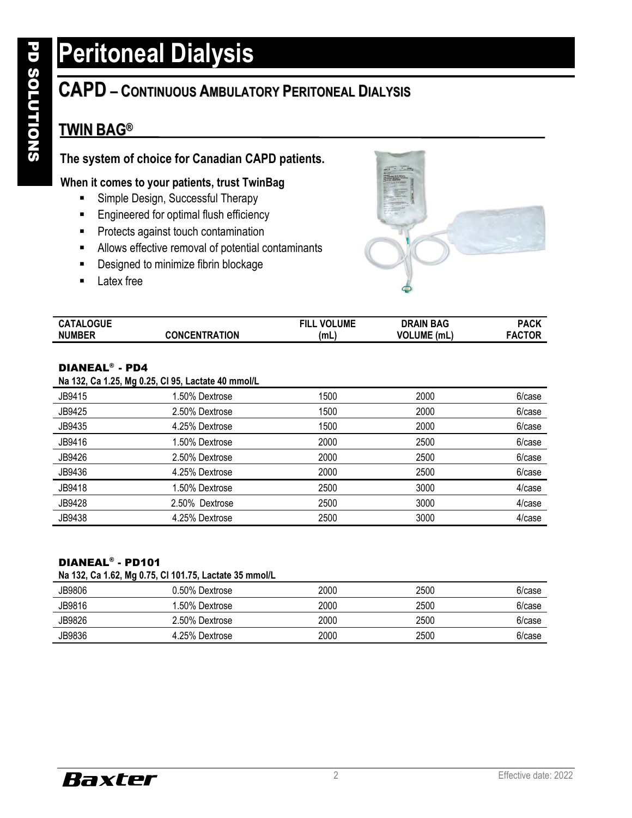## **CAPD – CONTINUOUS AMBULATORY PERITONEAL DIALYSIS**

## **TWIN BAG®**

### **The system of choice for Canadian CAPD patients.**

### **When it comes to your patients, trust TwinBag**

- **E** Simple Design, Successful Therapy
- Engineered for optimal flush efficiency
- Protects against touch contamination
- Allows effective removal of potential contaminants
- Designed to minimize fibrin blockage
- Latex free



| <b>CATALOGUE</b> |               | <b>VOLUME</b><br><b>FILL</b> | <b>DRAIN BAG</b>            | PACK   |
|------------------|---------------|------------------------------|-----------------------------|--------|
| <b>NUMBER</b>    | CONCENTRATION | (mL                          | <b>VOLUME</b><br>. (mL $\,$ | FACTOR |

#### DIANEAL® - PD4

#### **Na 132, Ca 1.25, Mg 0.25, Cl 95, Lactate 40 mmol/L**

| .      | . .            |      |      |        |
|--------|----------------|------|------|--------|
| JB9415 | 1.50% Dextrose | 1500 | 2000 | 6/case |
| JB9425 | 2.50% Dextrose | 1500 | 2000 | 6/case |
| JB9435 | 4.25% Dextrose | 1500 | 2000 | 6/case |
| JB9416 | 1.50% Dextrose | 2000 | 2500 | 6/case |
| JB9426 | 2.50% Dextrose | 2000 | 2500 | 6/case |
| JB9436 | 4.25% Dextrose | 2000 | 2500 | 6/case |
| JB9418 | 1.50% Dextrose | 2500 | 3000 | 4/case |
| JB9428 | 2.50% Dextrose | 2500 | 3000 | 4/case |
| JB9438 | 4.25% Dextrose | 2500 | 3000 | 4/case |
|        |                |      |      |        |

#### DIANEAL® - PD101

#### **Na 132, Ca 1.62, Mg 0.75, Cl 101.75, Lactate 35 mmol/L**

| .      | .<br>- -       |      |      |        |
|--------|----------------|------|------|--------|
| JB9806 | 0.50% Dextrose | 2000 | 2500 | 6/case |
| JB9816 | 1.50% Dextrose | 2000 | 2500 | 6/case |
| JB9826 | 2.50% Dextrose | 2000 | 2500 | 6/case |
| JB9836 | 4.25% Dextrose | 2000 | 2500 | 6/case |

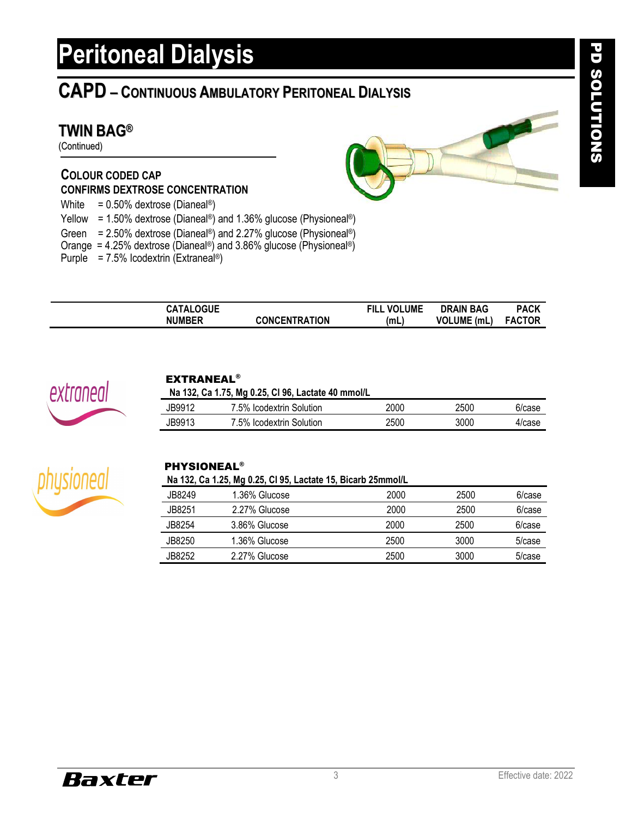## **CAPD – CONTINUOUS AMBULATORY PERITONEAL DIALYSIS**

### **TWIN BAG®**

(Continued)

### **COLOUR CODED CAP CONFIRMS DEXTROSE CONCENTRATION**

White =  $0.50\%$  dextrose (Dianeal®)

Yellow = 1.50% dextrose (Dianeal®) and 1.36% glucose (Physioneal®)

- Green = 2.50% dextrose (Dianeal®) and 2.27% glucose (Physioneal®)
- Orange = 4.25% dextrose (Dianeal®) and 3.86% glucose (Physioneal®)
- Purple =  $7.5\%$  Icodextrin (Extraneal®)

| OGUE<br>A<br>. |                                       | <b>LUME</b><br>VOI<br>디니- | <b>BAG</b><br><b>DRAIN</b> | <b>PACK</b> |
|----------------|---------------------------------------|---------------------------|----------------------------|-------------|
| <b>NUMBER</b>  | <b>ITION</b><br><b>CONCENT</b><br>⊺RA | (mL                       | VOL.<br>UME.<br>(mL        | "OR<br>FAC  |



#### EXTRANEAL®

**Na 132, Ca 1.75, Mg 0.25, CI 96, Lactate 40 mmol/L** 

| JB9912 | 7.5% Icodextrin Solution | 200C | 2500 | 6/case |
|--------|--------------------------|------|------|--------|
| JB9913 | 7.5% Icodextrin Solution | 2500 | 3000 | 4/case |



#### PHYSIONEAL®

**Na 132, Ca 1.25, Mg 0.25, Cl 95, Lactate 15, Bicarb 25mmol/L**

| JB8249  | 1.36% Glucose | 2000 | 2500 | 6/case |
|---------|---------------|------|------|--------|
| JB8251  | 2.27% Glucose | 2000 | 2500 | 6/case |
| JB8254  | 3.86% Glucose | 2000 | 2500 | 6/case |
| JB8250  | 1.36% Glucose | 2500 | 3000 | 5/case |
| JB8252. | 2.27% Glucose | 2500 | 3000 | 5/case |



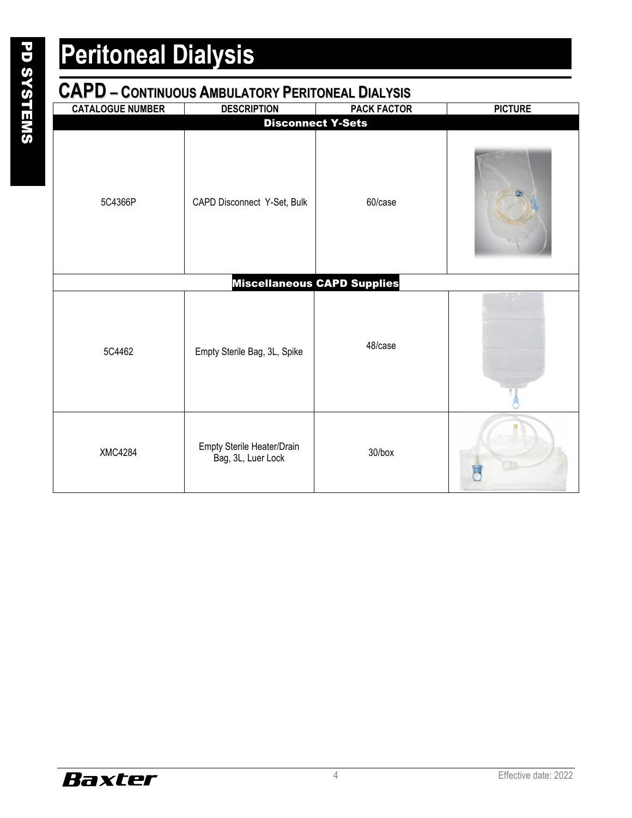| <b>CAPD - CONTINUOUS AMBULATORY PERITONEAL DIALYSIS</b> |                                                  |                                    |                |  |  |
|---------------------------------------------------------|--------------------------------------------------|------------------------------------|----------------|--|--|
| <b>CATALOGUE NUMBER</b>                                 | <b>DESCRIPTION</b>                               | <b>PACK FACTOR</b>                 | <b>PICTURE</b> |  |  |
|                                                         |                                                  | <b>Disconnect Y-Sets</b>           |                |  |  |
| 5C4366P                                                 | CAPD Disconnect Y-Set, Bulk                      | 60/case                            |                |  |  |
|                                                         |                                                  | <b>Miscellaneous CAPD Supplies</b> |                |  |  |
| 5C4462                                                  | Empty Sterile Bag, 3L, Spike                     | 48/case                            |                |  |  |
| <b>XMC4284</b>                                          | Empty Sterile Heater/Drain<br>Bag, 3L, Luer Lock | 30/box                             |                |  |  |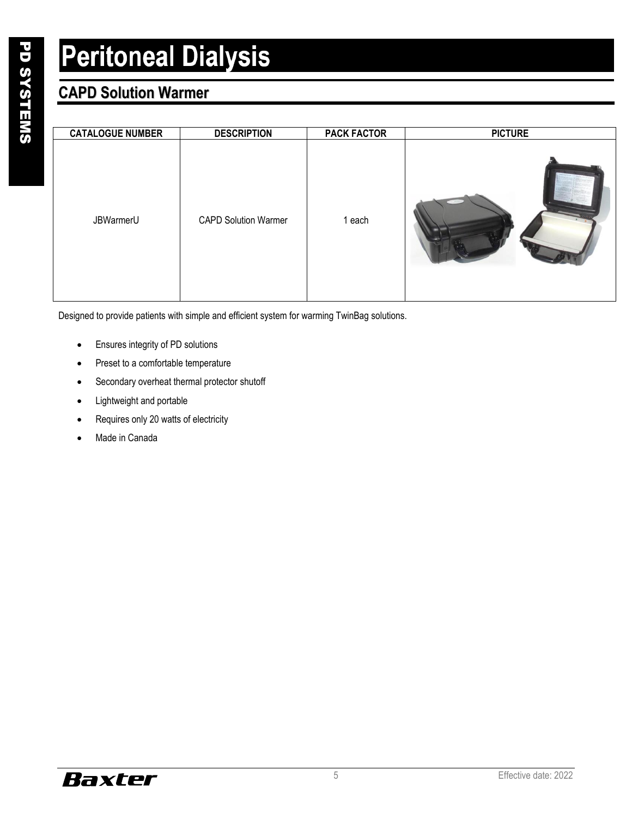## **CAPD Solution Warmer**

| <b>CATALOGUE NUMBER</b> | <b>DESCRIPTION</b>          | <b>PACK FACTOR</b> | <b>PICTURE</b> |
|-------------------------|-----------------------------|--------------------|----------------|
| JBWarmerU               | <b>CAPD Solution Warmer</b> | 1 each             |                |

Designed to provide patients with simple and efficient system for warming TwinBag solutions.

- Ensures integrity of PD solutions
- Preset to a comfortable temperature
- Secondary overheat thermal protector shutoff
- Lightweight and portable
- Requires only 20 watts of electricity
- Made in Canada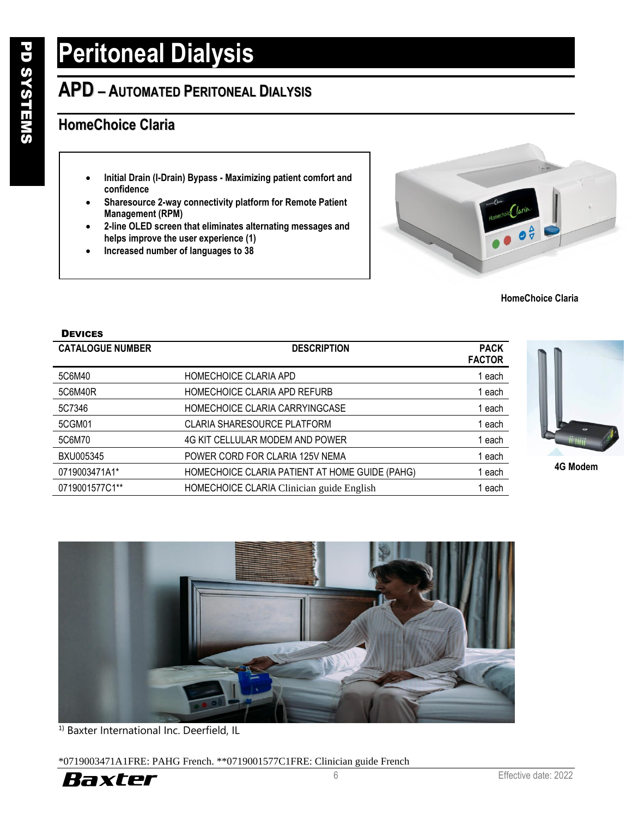## **APD – AUTOMATED PERITONEAL DIALYSIS**

### **HomeChoice Claria**

- **Initial Drain (I-Drain) Bypass - Maximizing patient comfort and confidence**
- **Sharesource 2-way connectivity platform for Remote Patient Management (RPM)**
- **2-line OLED screen that eliminates alternating messages and helps improve the user experience (1)**
- **Increased number of languages to 38**



**HomeChoice Claria**

| <b>DEVICES</b>          |                                                |                              |
|-------------------------|------------------------------------------------|------------------------------|
| <b>CATALOGUE NUMBER</b> | <b>DESCRIPTION</b>                             | <b>PACK</b><br><b>FACTOR</b> |
| 5C6M40                  | HOMECHOICE CLARIA APD                          | 1 each                       |
| 5C6M40R                 | HOMECHOICE CLARIA APD REFURB                   | 1 each                       |
| 5C7346                  | HOMECHOICE CLARIA CARRYINGCASE                 | 1 each                       |
| 5CGM01                  | <b>CLARIA SHARESOURCE PLATFORM</b>             | 1 each                       |
| 5C6M70                  | 4G KIT CELLULAR MODEM AND POWER                | 1 each                       |
| BXU005345               | POWER CORD FOR CLARIA 125V NEMA                | 1 each                       |
| 0719003471A1*           | HOMECHOICE CLARIA PATIENT AT HOME GUIDE (PAHG) | 1 each                       |
| 0719001577C1**          | HOMECHOICE CLARIA Clinician guide English      | 1 each                       |



**4G Modem**



<sup>1)</sup> Baxter International Inc. Deerfield, IL

\*0719003471A1FRE: PAHG French. \*\*0719001577C1FRE: Clinician guide French

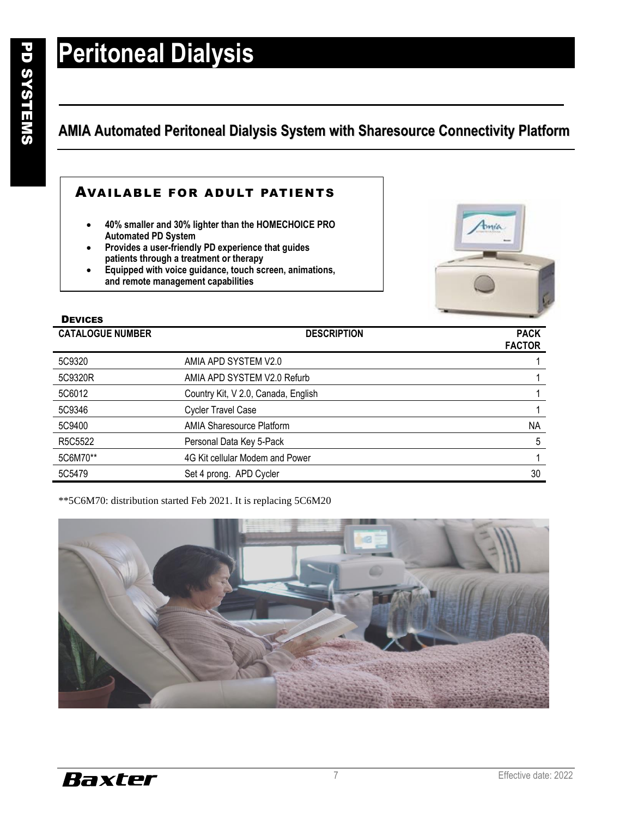**DEVICES** 

## **Peritoneal Dialysis**

## **AMIA Automated Peritoneal Dialysis System with Sharesource Connectivity Platform**

### AVAILABLE FOR ADULT PATIENTS

- **40% smaller and 30% lighter than the HOMECHOICE PRO Automated PD System**
- **Provides a user-friendly PD experience that guides patients through a treatment or therapy**
- **Equipped with voice guidance, touch screen, animations, and remote management capabilities**



| ------<br><b>CATALOGUE NUMBER</b> | <b>DESCRIPTION</b>                  | <b>PACK</b>   |
|-----------------------------------|-------------------------------------|---------------|
|                                   |                                     | <b>FACTOR</b> |
| 5C9320                            | AMIA APD SYSTEM V2.0                |               |
| 5C9320R                           | AMIA APD SYSTEM V2.0 Refurb         |               |
| 5C6012                            | Country Kit, V 2.0, Canada, English |               |
| 5C9346                            | <b>Cycler Travel Case</b>           |               |
| 5C9400                            | <b>AMIA Sharesource Platform</b>    | <b>NA</b>     |
| R5C5522                           | Personal Data Key 5-Pack            | 5             |
| 5C6M70**                          | 4G Kit cellular Modem and Power     |               |
| 5C5479                            | Set 4 prong. APD Cycler             | 30            |

\*\*5C6M70: distribution started Feb 2021. It is replacing 5C6M20

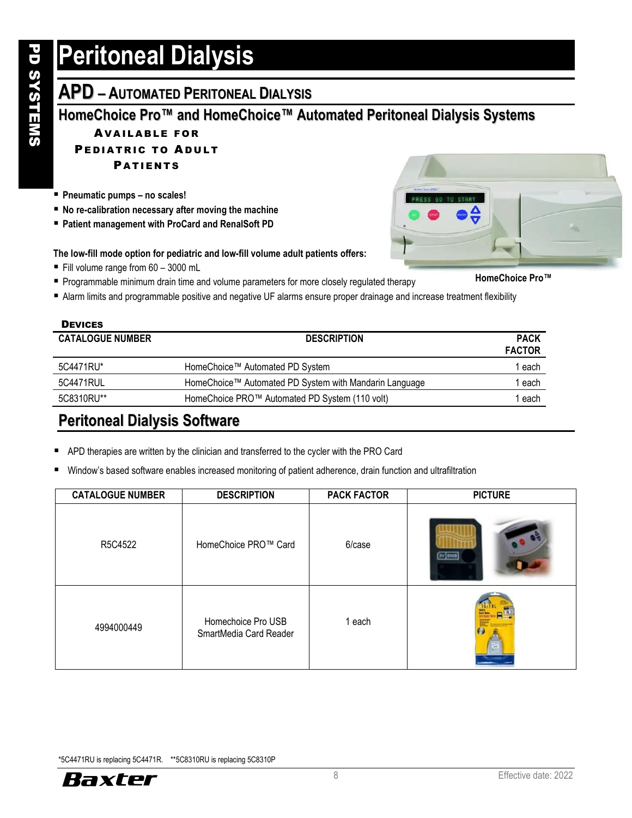## **APD – AUTOMATED PERITONEAL DIALYSIS**

### **HomeChoice Pro™ and HomeChoice™ Automated Peritoneal Dialysis Systems**

### **AVAILABLE FOR**

### PEDIATRIC TO ADULT

**PATIENTS** 

- **Pneumatic pumps – no scales!**
- No re-calibration necessary after moving the machine
- Patient management with ProCard and RenalSoft PD

#### **The low-fill mode option for pediatric and low-fill volume adult patients offers:**

- Fill volume range from 60 3000 mL
- Programmable minimum drain time and volume parameters for more closely regulated therapy
- Alarm limits and programmable positive and negative UF alarms ensure proper drainage and increase treatment flexibility

### **DEVICES CATALOGUE NUMBER DESCRIPTION PACK FACTOR** 5C4471RU\* **HomeChoice™** Automated PD System 1 each 1 each 5C4471RUL HomeChoice™ Automated PD System with Mandarin Language 1 each 5C8310RU\*\* HomeChoice PRO™ Automated PD System (110 volt) 1 each

### **Peritoneal Dialysis Software**

- APD therapies are written by the clinician and transferred to the cycler with the PRO Card
- Window's based software enables increased monitoring of patient adherence, drain function and ultrafiltration

| <b>CATALOGUE NUMBER</b> | <b>DESCRIPTION</b>                           | <b>PACK FACTOR</b> | <b>PICTURE</b> |
|-------------------------|----------------------------------------------|--------------------|----------------|
| R5C4522                 | HomeChoice PRO™ Card                         | 6/case             | $TV$ and       |
| 4994000449              | Homechoice Pro USB<br>SmartMedia Card Reader | 1 each             |                |

\*5C4471RU is replacing 5C4471R. \*\*5C8310RU is replacing 5C8310P







**HomeChoice Pro™**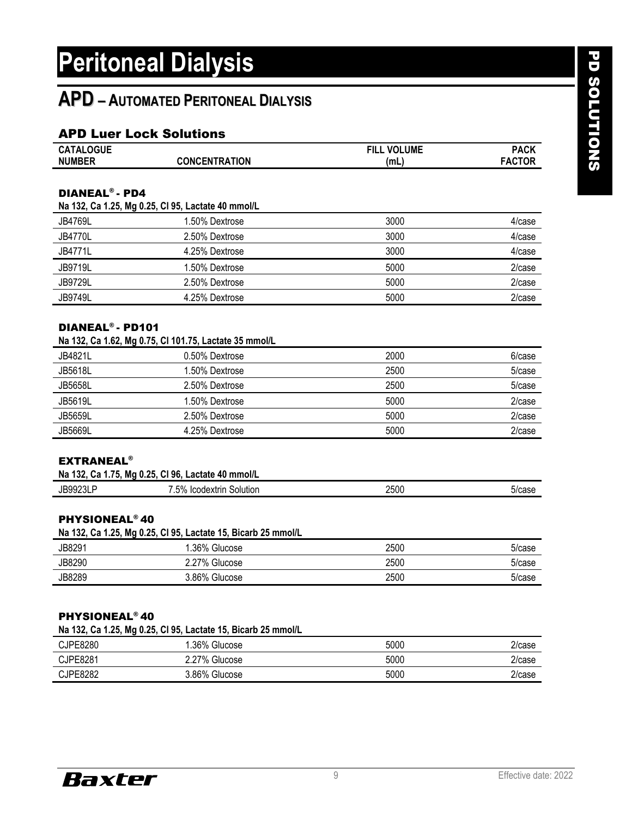## **APD – AUTOMATED PERITONEAL DIALYSIS**

### APD Luer Lock Solutions

| <b>CATALOGUE</b> |               | <b>VOLUME</b><br><b>FILL</b> | PACK         |
|------------------|---------------|------------------------------|--------------|
| <b>NUMBER</b>    | CONCENTRATION | (mL                          | <b>ACTOR</b> |

#### DIANEAL® - PD4

| Na 132, Ca 1.25, Mg 0.25, CI 95, Lactate 40 mmol/L |                |      |        |  |
|----------------------------------------------------|----------------|------|--------|--|
| <b>JB4769L</b>                                     | 1.50% Dextrose | 3000 | 4/case |  |
| <b>JB4770L</b>                                     | 2.50% Dextrose | 3000 | 4/case |  |
| JB4771L                                            | 4.25% Dextrose | 3000 | 4/case |  |
| <b>JB9719L</b>                                     | 1.50% Dextrose | 5000 | 2/case |  |
| <b>JB9729L</b>                                     | 2.50% Dextrose | 5000 | 2/case |  |
| <b>JB9749L</b>                                     | 4.25% Dextrose | 5000 | 2/case |  |

#### DIANEAL® - PD101

| Na 132, Ca 1.62, Mg 0.75, Cl 101.75, Lactate 35 mmol/L |  |  |
|--------------------------------------------------------|--|--|
|--------------------------------------------------------|--|--|

| JB4821L        | 0.50% Dextrose | 2000 | 6/case |
|----------------|----------------|------|--------|
| <b>JB5618L</b> | 1.50% Dextrose | 2500 | 5/case |
| <b>JB5658L</b> | 2.50% Dextrose | 2500 | 5/case |
| <b>JB5619L</b> | 1.50% Dextrose | 5000 | 2/case |
| <b>JB5659L</b> | 2.50% Dextrose | 5000 | 2/case |
| <b>JB5669L</b> | 4.25% Dextrose | 5000 | 2/case |

#### **EXTRANEAL<sup>®</sup>**

| Na 132, Ca 1.75, Mg 0.25, Cl 96, Lactate 40 mmol/L |                          |      |        |
|----------------------------------------------------|--------------------------|------|--------|
| <b>JB9923LP</b>                                    | '.5% Icodextrin Solution | 2500 | 5/case |

#### PHYSIONEAL® 40

| Na 132, Ca 1.25, Mg 0.25, Cl 95, Lactate 15, Bicarb 25 mmol/L |               |      |        |
|---------------------------------------------------------------|---------------|------|--------|
| JB8291                                                        | 1.36% Glucose | 2500 | 5/case |
| JB8290                                                        | 2.27% Glucose | 2500 | 5/case |
| JB8289                                                        | 3.86% Glucose | 2500 | 5/case |

#### PHYSIONEAL® 40

| Na 132, Ca 1.25, Mg 0.25, Cl 95, Lactate 15, Bicarb 25 mmol/L |  |  |
|---------------------------------------------------------------|--|--|
|---------------------------------------------------------------|--|--|

| CJPE8280        | .36%<br>Glucose     | 5000 | 2/case |
|-----------------|---------------------|------|--------|
| CJPE8281        | $2.27\%$<br>Glucose | 5000 | 2/case |
| <b>CJPE8282</b> | 3.86%<br>Glucose    | 5000 | 2/case |

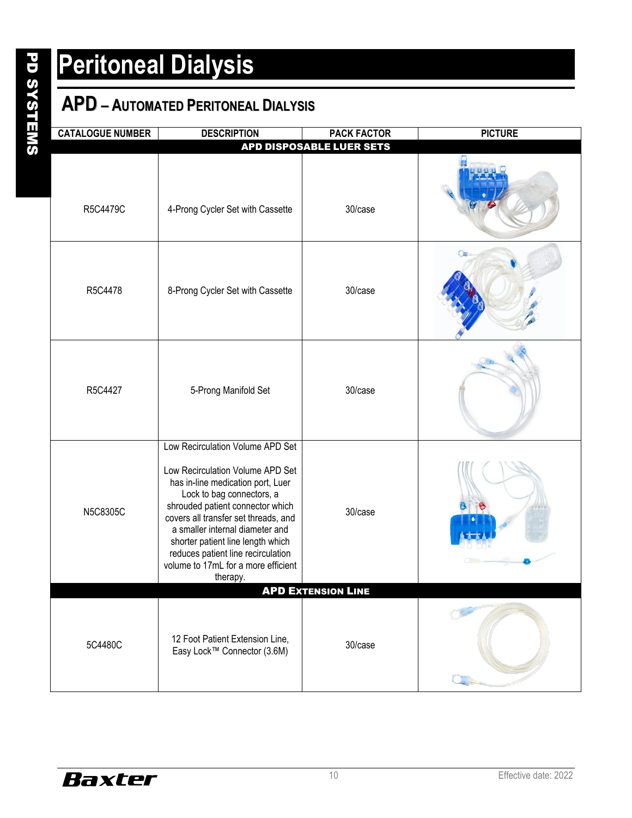## **APD – AUTOMATED PERITONEAL DIALYSIS**

| <b>CATALOGUE NUMBER</b>   | <b>DESCRIPTION</b>                                                                                                                                                                                                                                                                                                                                                                  | <b>PACK FACTOR</b>              | <b>PICTURE</b> |
|---------------------------|-------------------------------------------------------------------------------------------------------------------------------------------------------------------------------------------------------------------------------------------------------------------------------------------------------------------------------------------------------------------------------------|---------------------------------|----------------|
|                           |                                                                                                                                                                                                                                                                                                                                                                                     | <b>APD DISPOSABLE LUER SETS</b> |                |
| R5C4479C                  | 4-Prong Cycler Set with Cassette                                                                                                                                                                                                                                                                                                                                                    | 30/case                         |                |
| R5C4478                   | 8-Prong Cycler Set with Cassette                                                                                                                                                                                                                                                                                                                                                    | 30/case                         | Oш             |
| R5C4427                   | 5-Prong Manifold Set                                                                                                                                                                                                                                                                                                                                                                | 30/case                         |                |
| N5C8305C                  | Low Recirculation Volume APD Set<br>Low Recirculation Volume APD Set<br>has in-line medication port, Luer<br>Lock to bag connectors, a<br>shrouded patient connector which<br>covers all transfer set threads, and<br>a smaller internal diameter and<br>shorter patient line length which<br>reduces patient line recirculation<br>volume to 17mL for a more efficient<br>therapy. | 30/case                         |                |
| <b>APD EXTENSION LINE</b> |                                                                                                                                                                                                                                                                                                                                                                                     |                                 |                |
| 5C4480C                   | 12 Foot Patient Extension Line,<br>Easy Lock™ Connector (3.6M)                                                                                                                                                                                                                                                                                                                      | 30/case                         |                |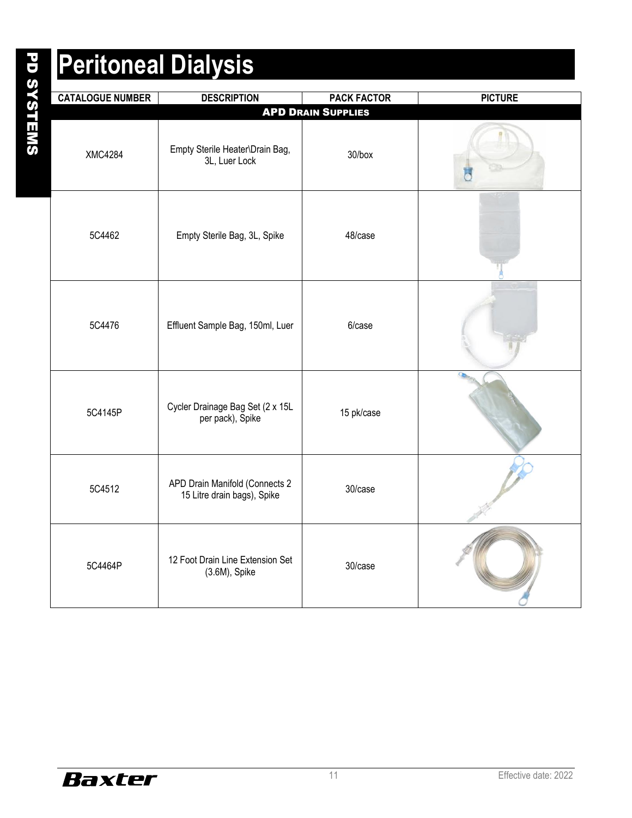| <b>CATALOGUE NUMBER</b> | <b>DESCRIPTION</b>                                            | <b>PACK FACTOR</b>        | <b>PICTURE</b> |
|-------------------------|---------------------------------------------------------------|---------------------------|----------------|
|                         |                                                               | <b>APD DRAIN SUPPLIES</b> |                |
| <b>XMC4284</b>          | Empty Sterile Heater\Drain Bag,<br>3L, Luer Lock              | 30/box                    |                |
| 5C4462                  | Empty Sterile Bag, 3L, Spike                                  | 48/case                   |                |
| 5C4476                  | Effluent Sample Bag, 150ml, Luer                              | 6/case                    |                |
| 5C4145P                 | Cycler Drainage Bag Set (2 x 15L<br>per pack), Spike          | 15 pk/case                |                |
| 5C4512                  | APD Drain Manifold (Connects 2<br>15 Litre drain bags), Spike | 30/case                   |                |
| 5C4464P                 | 12 Foot Drain Line Extension Set<br>(3.6M), Spike             | 30/case                   |                |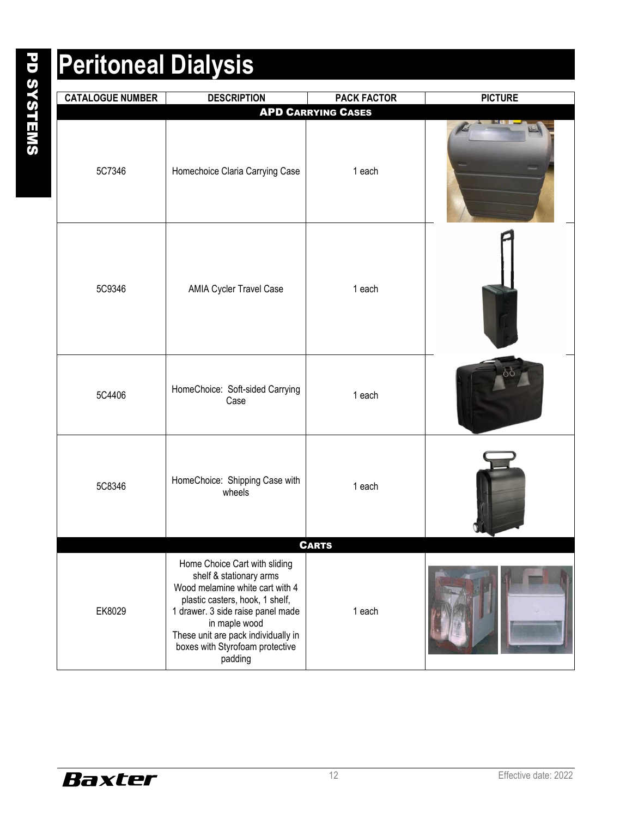| <b>CATALOGUE NUMBER</b> | <b>DESCRIPTION</b>                                                                                                                                                                                                                                                        | <b>PACK FACTOR</b>        | <b>PICTURE</b> |
|-------------------------|---------------------------------------------------------------------------------------------------------------------------------------------------------------------------------------------------------------------------------------------------------------------------|---------------------------|----------------|
|                         |                                                                                                                                                                                                                                                                           | <b>APD CARRYING CASES</b> |                |
| 5C7346                  | Homechoice Claria Carrying Case                                                                                                                                                                                                                                           | 1 each                    |                |
| 5C9346                  | AMIA Cycler Travel Case                                                                                                                                                                                                                                                   | 1 each                    |                |
| 5C4406                  | HomeChoice: Soft-sided Carrying<br>Case                                                                                                                                                                                                                                   | 1 each                    |                |
| 5C8346                  | HomeChoice: Shipping Case with<br>wheels                                                                                                                                                                                                                                  | 1 each                    |                |
| <b>CARTS</b>            |                                                                                                                                                                                                                                                                           |                           |                |
| EK8029                  | Home Choice Cart with sliding<br>shelf & stationary arms<br>Wood melamine white cart with 4<br>plastic casters, hook, 1 shelf,<br>1 drawer. 3 side raise panel made<br>in maple wood<br>These unit are pack individually in<br>boxes with Styrofoam protective<br>padding | 1 each                    |                |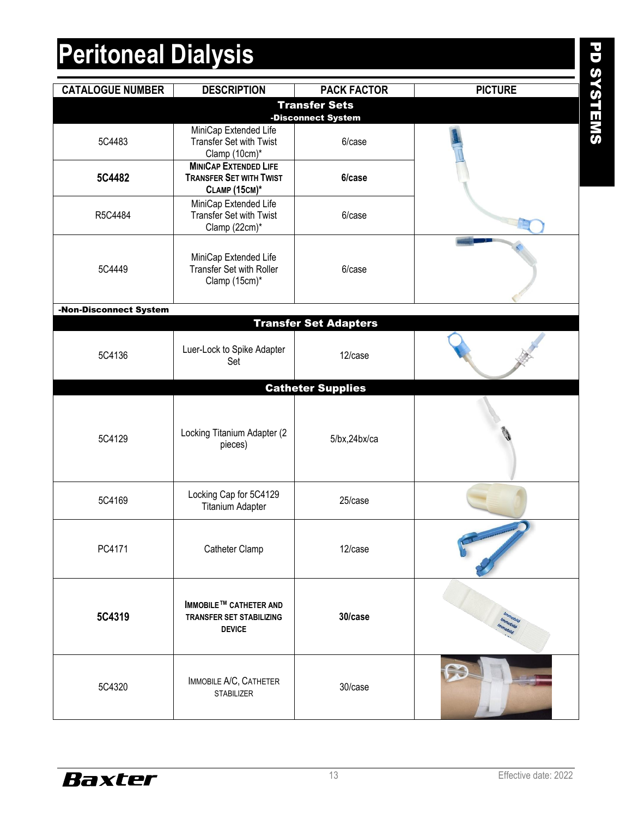| <b>CATALOGUE NUMBER</b> | <b>DESCRIPTION</b>                                                                     | <b>PACK FACTOR</b>           | <b>PICTURE</b> |
|-------------------------|----------------------------------------------------------------------------------------|------------------------------|----------------|
|                         |                                                                                        | <b>Transfer Sets</b>         |                |
| 5C4483                  | MiniCap Extended Life<br><b>Transfer Set with Twist</b><br>Clamp (10cm)*               | -Disconnect System<br>6/case |                |
| 5C4482                  | <b>MINICAP EXTENDED LIFE</b><br><b>TRANSFER SET WITH TWIST</b><br><b>CLAMP (15CM)*</b> | 6/case                       |                |
| R5C4484                 | MiniCap Extended Life<br><b>Transfer Set with Twist</b><br>Clamp (22cm)*               | 6/case                       |                |
| 5C4449                  | MiniCap Extended Life<br>Transfer Set with Roller<br>Clamp (15cm)*                     | 6/case                       |                |
| -Non-Disconnect System  |                                                                                        |                              |                |
|                         |                                                                                        | <b>Transfer Set Adapters</b> |                |
| 5C4136                  | Luer-Lock to Spike Adapter<br>Set                                                      | 12/case                      |                |
|                         |                                                                                        | <b>Catheter Supplies</b>     |                |
| 5C4129                  | Locking Titanium Adapter (2<br>pieces)                                                 | 5/bx, 24bx/ca                |                |
| 5C4169                  | Locking Cap for 5C4129<br><b>Titanium Adapter</b>                                      | 25/case                      |                |
| PC4171                  | Catheter Clamp                                                                         | 12/case                      |                |
| 5C4319                  | <b>IMMOBILE™ CATHETER AND</b><br><b>TRANSFER SET STABILIZING</b><br><b>DEVICE</b>      | 30/case                      |                |
| 5C4320                  | IMMOBILE A/C, CATHETER<br><b>STABILIZER</b>                                            | 30/case                      |                |



PD SYSTEMS PD SYSTEMS